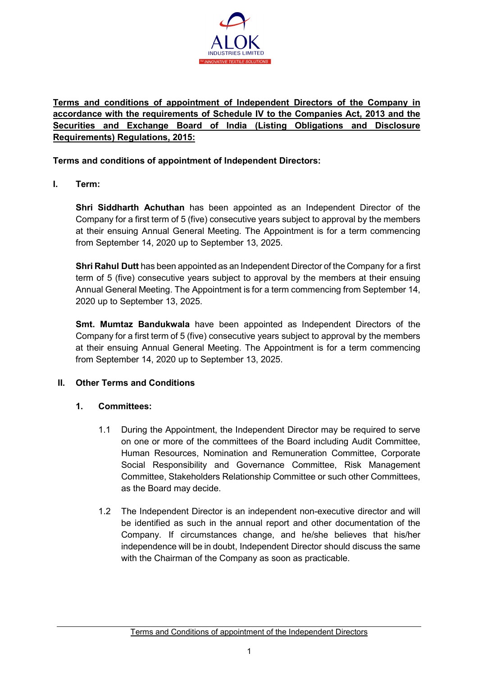

# **Terms and conditions of appointment of Independent Directors of the Company in accordance with the requirements of Schedule IV to the Companies Act, 2013 and the Securities and Exchange Board of India (Listing Obligations and Disclosure Requirements) Regulations, 2015:**

### **Terms and conditions of appointment of Independent Directors:**

**I. Term:**

**Shri Siddharth Achuthan** has been appointed as an Independent Director of the Company for a first term of 5 (five) consecutive years subject to approval by the members at their ensuing Annual General Meeting. The Appointment is for a term commencing from September 14, 2020 up to September 13, 2025.

**Shri Rahul Dutt** has been appointed as an Independent Director of the Company for a first term of 5 (five) consecutive years subject to approval by the members at their ensuing Annual General Meeting. The Appointment is for a term commencing from September 14, 2020 up to September 13, 2025.

**Smt. Mumtaz Bandukwala** have been appointed as Independent Directors of the Company for a first term of 5 (five) consecutive years subject to approval by the members at their ensuing Annual General Meeting. The Appointment is for a term commencing from September 14, 2020 up to September 13, 2025.

#### **II. Other Terms and Conditions**

## **1. Committees:**

- 1.1 During the Appointment, the Independent Director may be required to serve on one or more of the committees of the Board including Audit Committee, Human Resources, Nomination and Remuneration Committee, Corporate Social Responsibility and Governance Committee, Risk Management Committee, Stakeholders Relationship Committee or such other Committees, as the Board may decide.
- 1.2 The Independent Director is an independent non-executive director and will be identified as such in the annual report and other documentation of the Company. If circumstances change, and he/she believes that his/her independence will be in doubt, Independent Director should discuss the same with the Chairman of the Company as soon as practicable.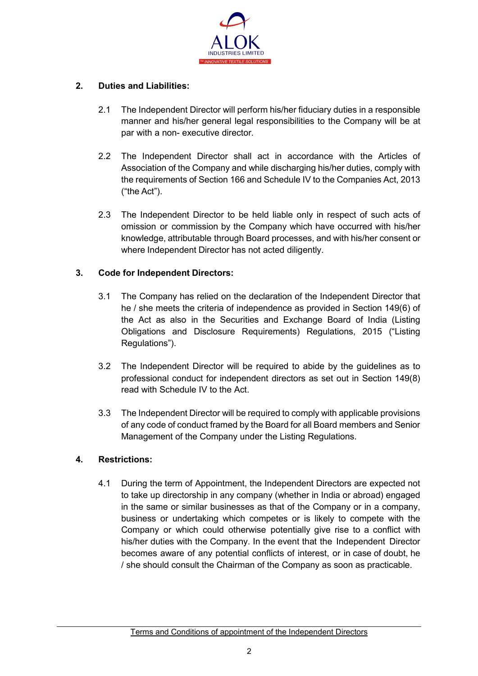

## **2. Duties and Liabilities:**

- 2.1 The Independent Director will perform his/her fiduciary duties in a responsible manner and his/her general legal responsibilities to the Company will be at par with a non- executive director.
- 2.2 The Independent Director shall act in accordance with the Articles of Association of the Company and while discharging his/her duties, comply with the requirements of Section 166 and Schedule IV to the Companies Act, 2013 ("the Act").
- 2.3 The Independent Director to be held liable only in respect of such acts of omission or commission by the Company which have occurred with his/her knowledge, attributable through Board processes, and with his/her consent or where Independent Director has not acted diligently.

## **3. Code for Independent Directors:**

- 3.1 The Company has relied on the declaration of the Independent Director that he / she meets the criteria of independence as provided in Section 149(6) of the Act as also in the Securities and Exchange Board of India (Listing Obligations and Disclosure Requirements) Regulations, 2015 ("Listing Regulations").
- 3.2 The Independent Director will be required to abide by the guidelines as to professional conduct for independent directors as set out in Section 149(8) read with Schedule IV to the Act.
- 3.3 The Independent Director will be required to comply with applicable provisions of any code of conduct framed by the Board for all Board members and Senior Management of the Company under the Listing Regulations.

#### **4. Restrictions:**

4.1 During the term of Appointment, the Independent Directors are expected not to take up directorship in any company (whether in India or abroad) engaged in the same or similar businesses as that of the Company or in a company, business or undertaking which competes or is likely to compete with the Company or which could otherwise potentially give rise to a conflict with his/her duties with the Company. In the event that the Independent Director becomes aware of any potential conflicts of interest, or in case of doubt, he / she should consult the Chairman of the Company as soon as practicable.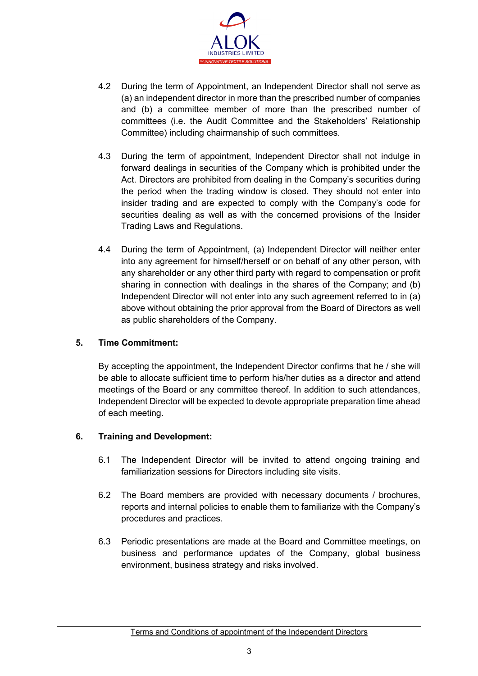

- 4.2 During the term of Appointment, an Independent Director shall not serve as (a) an independent director in more than the prescribed number of companies and (b) a committee member of more than the prescribed number of committees (i.e. the Audit Committee and the Stakeholders' Relationship Committee) including chairmanship of such committees.
- 4.3 During the term of appointment, Independent Director shall not indulge in forward dealings in securities of the Company which is prohibited under the Act. Directors are prohibited from dealing in the Company's securities during the period when the trading window is closed. They should not enter into insider trading and are expected to comply with the Company's code for securities dealing as well as with the concerned provisions of the Insider Trading Laws and Regulations.
- 4.4 During the term of Appointment, (a) Independent Director will neither enter into any agreement for himself/herself or on behalf of any other person, with any shareholder or any other third party with regard to compensation or profit sharing in connection with dealings in the shares of the Company; and (b) Independent Director will not enter into any such agreement referred to in (a) above without obtaining the prior approval from the Board of Directors as well as public shareholders of the Company.

### **5. Time Commitment:**

By accepting the appointment, the Independent Director confirms that he / she will be able to allocate sufficient time to perform his/her duties as a director and attend meetings of the Board or any committee thereof. In addition to such attendances, Independent Director will be expected to devote appropriate preparation time ahead of each meeting.

#### **6. Training and Development:**

- 6.1 The Independent Director will be invited to attend ongoing training and familiarization sessions for Directors including site visits.
- 6.2 The Board members are provided with necessary documents / brochures, reports and internal policies to enable them to familiarize with the Company's procedures and practices.
- 6.3 Periodic presentations are made at the Board and Committee meetings, on business and performance updates of the Company, global business environment, business strategy and risks involved.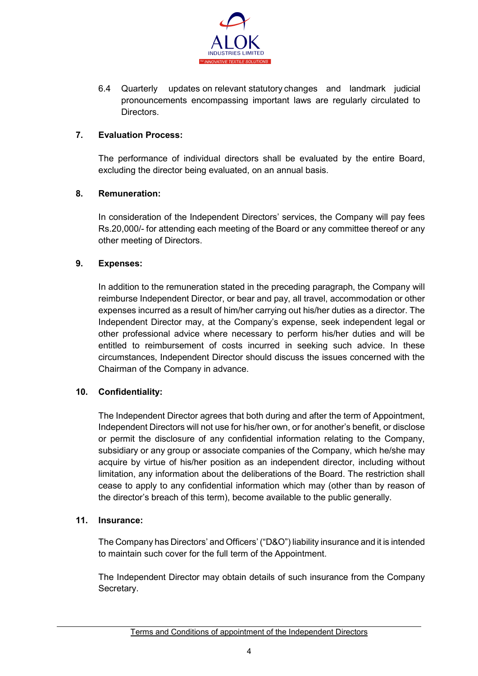

6.4 Quarterly updates on relevant statutory changes and landmark judicial pronouncements encompassing important laws are regularly circulated to Directors.

## **7. Evaluation Process:**

The performance of individual directors shall be evaluated by the entire Board, excluding the director being evaluated, on an annual basis.

#### **8. Remuneration:**

In consideration of the Independent Directors' services, the Company will pay fees Rs.20,000/- for attending each meeting of the Board or any committee thereof or any other meeting of Directors.

#### **9. Expenses:**

In addition to the remuneration stated in the preceding paragraph, the Company will reimburse Independent Director, or bear and pay, all travel, accommodation or other expenses incurred as a result of him/her carrying out his/her duties as a director. The Independent Director may, at the Company's expense, seek independent legal or other professional advice where necessary to perform his/her duties and will be entitled to reimbursement of costs incurred in seeking such advice. In these circumstances, Independent Director should discuss the issues concerned with the Chairman of the Company in advance.

## **10. Confidentiality:**

The Independent Director agrees that both during and after the term of Appointment, Independent Directors will not use for his/her own, or for another's benefit, or disclose or permit the disclosure of any confidential information relating to the Company, subsidiary or any group or associate companies of the Company, which he/she may acquire by virtue of his/her position as an independent director, including without limitation, any information about the deliberations of the Board. The restriction shall cease to apply to any confidential information which may (other than by reason of the director's breach of this term), become available to the public generally.

#### **11. Insurance:**

The Company has Directors' and Officers' ("D&O") liability insurance and it is intended to maintain such cover for the full term of the Appointment.

The Independent Director may obtain details of such insurance from the Company Secretary.